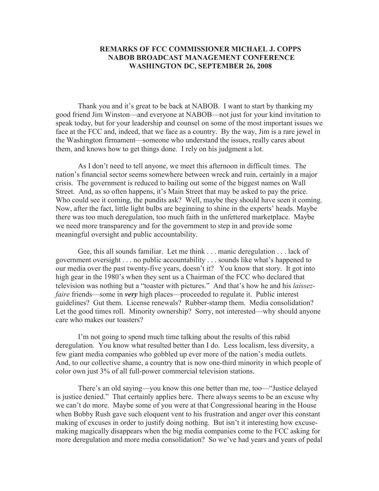## **REMARKS OF FCC COMMISSIONER MICHAEL J. COPPS NABOB BROADCAST MANAGEMENT CONFERENCE WASHINGTON DC, SEPTEMBER 26, 2008**

Thank you and it's great to be back at NABOB. I want to start by thanking my good friend Jim Winston—and everyone at NABOB—not just for your kind invitation to speak today, but for your leadership and counsel on some of the most important issues we face at the FCC and, indeed, that we face as a country. By the way, Jim is a rare jewel in the Washington firmament—someone who understand the issues, really cares about them, and knows how to get things done. I rely on his judgment a lot.

As I don't need to tell anyone, we meet this afternoon in difficult times. The nation's financial sector seems somewhere between wreck and ruin, certainly in a major crisis. The government is reduced to bailing out some of the biggest names on Wall Street. And, as so often happens, it's Main Street that may be asked to pay the price. Who could see it coming, the pundits ask? Well, maybe they should have seen it coming. Now, after the fact, little light bulbs are beginning to shine in the experts' heads. Maybe there was too much deregulation, too much faith in the unfettered marketplace. Maybe we need more transparency and for the government to step in and provide some meaningful oversight and public accountability.

Gee, this all sounds familiar. Let me think . . . manic deregulation . . . lack of government oversight . . . no public accountability . . . sounds like what's happened to our media over the past twenty-five years, doesn't it? You know that story. It got into high gear in the 1980's when they sent us a Chairman of the FCC who declared that television was nothing but a "toaster with pictures." And that's how he and his *laissezfaire* friends—some in *very* high places—proceeded to regulate it. Public interest guidelines? Gut them. License renewals? Rubber-stamp them. Media consolidation? Let the good times roll. Minority ownership? Sorry, not interested—why should anyone care who makes our toasters?

I'm not going to spend much time talking about the results of this rabid deregulation. You know what resulted better than I do. Less localism, less diversity, a few giant media companies who gobbled up ever more of the nation's media outlets. And, to our collective shame, a country that is now one-third minority in which people of color own just 3% of all full-power commercial television stations.

There's an old saying—you know this one better than me, too—"Justice delayed is justice denied." That certainly applies here. There always seems to be an excuse why we can't do more. Maybe some of you were at that Congressional hearing in the House when Bobby Rush gave such eloquent vent to his frustration and anger over this constant making of excuses in order to justify doing nothing. But isn't it interesting how excusemaking magically disappears when the big media companies come to the FCC asking for more deregulation and more media consolidation? So we've had years and years of pedal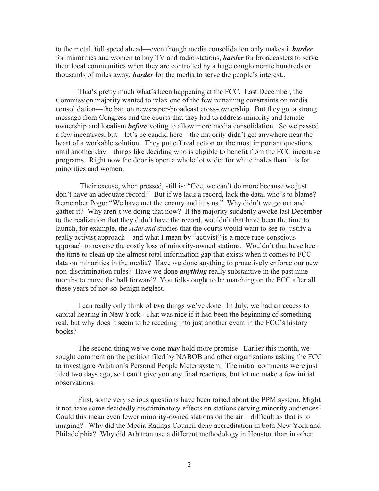to the metal, full speed ahead—even though media consolidation only makes it *harder* for minorities and women to buy TV and radio stations, *harder* for broadcasters to serve their local communities when they are controlled by a huge conglomerate hundreds or thousands of miles away, *harder* for the media to serve the people's interest..

That's pretty much what's been happening at the FCC. Last December, the Commission majority wanted to relax one of the few remaining constraints on media consolidation—the ban on newspaper-broadcast cross-ownership. But they got a strong message from Congress and the courts that they had to address minority and female ownership and localism *before* voting to allow more media consolidation. So we passed a few incentives, but—let's be candid here—the majority didn't get anywhere near the heart of a workable solution. They put off real action on the most important questions until another day—things like deciding who is eligible to benefit from the FCC incentive programs. Right now the door is open a whole lot wider for white males than it is for minorities and women.

Their excuse, when pressed, still is: "Gee, we can't do more because we just don't have an adequate record." But if we lack a record, lack the data, who's to blame? Remember Pogo: "We have met the enemy and it is us." Why didn't we go out and gather it? Why aren't we doing that now? If the majority suddenly awoke last December to the realization that they didn't have the record, wouldn't that have been the time to launch, for example, the *Adarand* studies that the courts would want to see to justify a really activist approach—and what I mean by "activist" is a more race-conscious approach to reverse the costly loss of minority-owned stations. Wouldn't that have been the time to clean up the almost total information gap that exists when it comes to FCC data on minorities in the media? Have we done anything to proactively enforce our new non-discrimination rules? Have we done *anything* really substantive in the past nine months to move the ball forward? You folks ought to be marching on the FCC after all these years of not-so-benign neglect.

I can really only think of two things we've done. In July, we had an access to capital hearing in New York. That was nice if it had been the beginning of something real, but why does it seem to be receding into just another event in the FCC's history books?

The second thing we've done may hold more promise. Earlier this month, we sought comment on the petition filed by NABOB and other organizations asking the FCC to investigate Arbitron's Personal People Meter system. The initial comments were just filed two days ago, so I can't give you any final reactions, but let me make a few initial observations.

First, some very serious questions have been raised about the PPM system. Might it not have some decidedly discriminatory effects on stations serving minority audiences? Could this mean even fewer minority-owned stations on the air—difficult as that is to imagine? Why did the Media Ratings Council deny accreditation in both New York and Philadelphia? Why did Arbitron use a different methodology in Houston than in other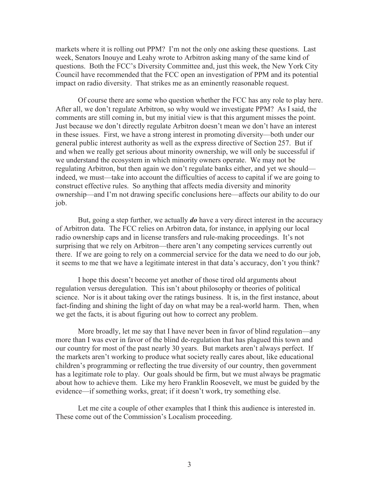markets where it is rolling out PPM? I'm not the only one asking these questions. Last week, Senators Inouye and Leahy wrote to Arbitron asking many of the same kind of questions. Both the FCC's Diversity Committee and, just this week, the New York City Council have recommended that the FCC open an investigation of PPM and its potential impact on radio diversity. That strikes me as an eminently reasonable request.

Of course there are some who question whether the FCC has any role to play here. After all, we don't regulate Arbitron, so why would we investigate PPM? As I said, the comments are still coming in, but my initial view is that this argument misses the point. Just because we don't directly regulate Arbitron doesn't mean we don't have an interest in these issues. First, we have a strong interest in promoting diversity—both under our general public interest authority as well as the express directive of Section 257. But if and when we really get serious about minority ownership, we will only be successful if we understand the ecosystem in which minority owners operate. We may not be regulating Arbitron, but then again we don't regulate banks either, and yet we should indeed, we must—take into account the difficulties of access to capital if we are going to construct effective rules. So anything that affects media diversity and minority ownership—and I'm not drawing specific conclusions here—affects our ability to do our job.

But, going a step further, we actually *do* have a very direct interest in the accuracy of Arbitron data. The FCC relies on Arbitron data, for instance, in applying our local radio ownership caps and in license transfers and rule-making proceedings. It's not surprising that we rely on Arbitron—there aren't any competing services currently out there. If we are going to rely on a commercial service for the data we need to do our job, it seems to me that we have a legitimate interest in that data's accuracy, don't you think?

I hope this doesn't become yet another of those tired old arguments about regulation versus deregulation. This isn't about philosophy or theories of political science. Nor is it about taking over the ratings business. It is, in the first instance, about fact-finding and shining the light of day on what may be a real-world harm. Then, when we get the facts, it is about figuring out how to correct any problem.

More broadly, let me say that I have never been in favor of blind regulation—any more than I was ever in favor of the blind de-regulation that has plagued this town and our country for most of the past nearly 30 years. But markets aren't always perfect. If the markets aren't working to produce what society really cares about, like educational children's programming or reflecting the true diversity of our country, then government has a legitimate role to play. Our goals should be firm, but we must always be pragmatic about how to achieve them. Like my hero Franklin Roosevelt, we must be guided by the evidence—if something works, great; if it doesn't work, try something else.

Let me cite a couple of other examples that I think this audience is interested in. These come out of the Commission's Localism proceeding.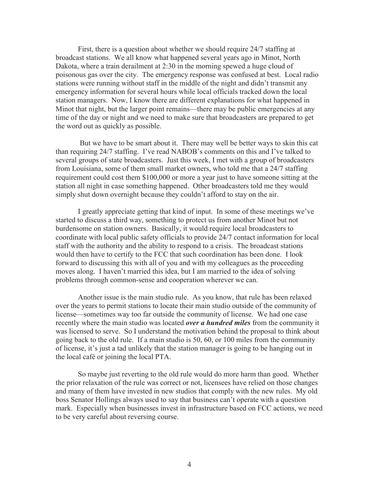First, there is a question about whether we should require 24/7 staffing at broadcast stations. We all know what happened several years ago in Minot, North Dakota, where a train derailment at 2:30 in the morning spewed a huge cloud of poisonous gas over the city. The emergency response was confused at best. Local radio stations were running without staff in the middle of the night and didn't transmit any emergency information for several hours while local officials tracked down the local station managers. Now, I know there are different explanations for what happened in Minot that night, but the larger point remains—there may be public emergencies at any time of the day or night and we need to make sure that broadcasters are prepared to get the word out as quickly as possible.

But we have to be smart about it. There may well be better ways to skin this cat than requiring 24/7 staffing. I've read NABOB's comments on this and I've talked to several groups of state broadcasters. Just this week, I met with a group of broadcasters from Louisiana, some of them small market owners, who told me that a 24/7 staffing requirement could cost them \$100,000 or more a year just to have someone sitting at the station all night in case something happened. Other broadcasters told me they would simply shut down overnight because they couldn't afford to stay on the air.

I greatly appreciate getting that kind of input. In some of these meetings we've started to discuss a third way, something to protect us from another Minot but not burdensome on station owners. Basically, it would require local broadcasters to coordinate with local public safety officials to provide 24/7 contact information for local staff with the authority and the ability to respond to a crisis. The broadcast stations would then have to certify to the FCC that such coordination has been done. I look forward to discussing this with all of you and with my colleagues as the proceeding moves along. I haven't married this idea, but I am married to the idea of solving problems through common-sense and cooperation wherever we can.

Another issue is the main studio rule. As you know, that rule has been relaxed over the years to permit stations to locate their main studio outside of the community of license—sometimes way too far outside the community of license. We had one case recently where the main studio was located *over a hundred miles* from the community it was licensed to serve. So I understand the motivation behind the proposal to think about going back to the old rule. If a main studio is 50, 60, or 100 miles from the community of license, it's just a tad unlikely that the station manager is going to be hanging out in the local café or joining the local PTA.

So maybe just reverting to the old rule would do more harm than good. Whether the prior relaxation of the rule was correct or not, licensees have relied on those changes and many of them have invested in new studios that comply with the new rules. My old boss Senator Hollings always used to say that business can't operate with a question mark. Especially when businesses invest in infrastructure based on FCC actions, we need to be very careful about reversing course.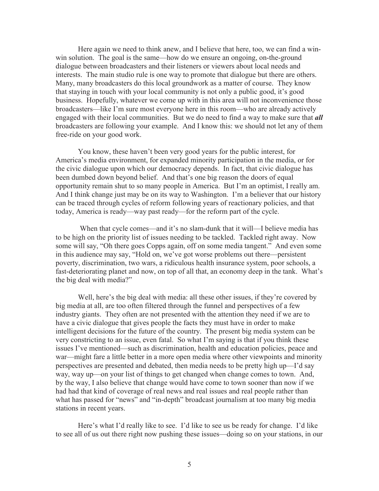Here again we need to think anew, and I believe that here, too, we can find a winwin solution. The goal is the same—how do we ensure an ongoing, on-the-ground dialogue between broadcasters and their listeners or viewers about local needs and interests. The main studio rule is one way to promote that dialogue but there are others. Many, many broadcasters do this local groundwork as a matter of course. They know that staying in touch with your local community is not only a public good, it's good business. Hopefully, whatever we come up with in this area will not inconvenience those broadcasters—like I'm sure most everyone here in this room—who are already actively engaged with their local communities. But we do need to find a way to make sure that *all*  broadcasters are following your example. And I know this: we should not let any of them free-ride on your good work.

You know, these haven't been very good years for the public interest, for America's media environment, for expanded minority participation in the media, or for the civic dialogue upon which our democracy depends. In fact, that civic dialogue has been dumbed down beyond belief. And that's one big reason the doors of equal opportunity remain shut to so many people in America. But I'm an optimist, I really am. And I think change just may be on its way to Washington. I'm a believer that our history can be traced through cycles of reform following years of reactionary policies, and that today, America is ready—way past ready—for the reform part of the cycle.

When that cycle comes—and it's no slam-dunk that it will—I believe media has to be high on the priority list of issues needing to be tackled. Tackled right away. Now some will say, "Oh there goes Copps again, off on some media tangent." And even some in this audience may say, "Hold on, we've got worse problems out there—persistent poverty, discrimination, two wars, a ridiculous health insurance system, poor schools, a fast-deteriorating planet and now, on top of all that, an economy deep in the tank. What's the big deal with media?"

Well, here's the big deal with media: all these other issues, if they're covered by big media at all, are too often filtered through the funnel and perspectives of a few industry giants. They often are not presented with the attention they need if we are to have a civic dialogue that gives people the facts they must have in order to make intelligent decisions for the future of the country. The present big media system can be very constricting to an issue, even fatal. So what I'm saying is that if you think these issues I've mentioned—such as discrimination, health and education policies, peace and war—might fare a little better in a more open media where other viewpoints and minority perspectives are presented and debated, then media needs to be pretty high up—I'd say way, way up—on your list of things to get changed when change comes to town. And, by the way, I also believe that change would have come to town sooner than now if we had had that kind of coverage of real news and real issues and real people rather than what has passed for "news" and "in-depth" broadcast journalism at too many big media stations in recent years.

Here's what I'd really like to see. I'd like to see us be ready for change. I'd like to see all of us out there right now pushing these issues—doing so on your stations, in our